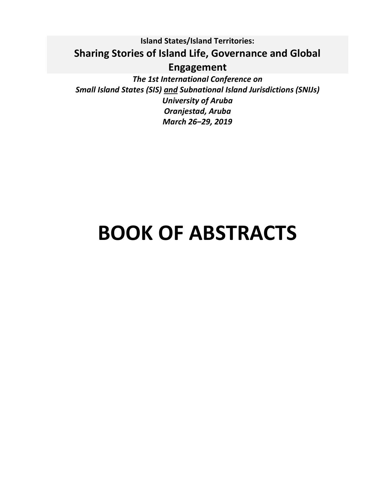## **Island States/Island Territories: Sharing Stories of Island Life, Governance and Global Engagement**

*The 1st International Conference on Small Island States (SIS) and Subnational Island Jurisdictions (SNIJs) University of Aruba Oranjestad, Aruba March 26‒29, 2019*

# **BOOK OF ABSTRACTS**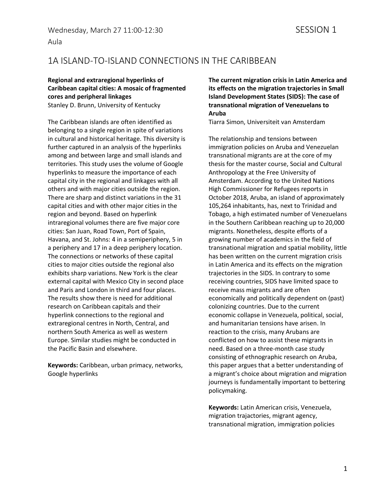#### Aula

### 1A ISLAND-TO-ISLAND CONNECTIONS IN THE CARIBBEAN

#### **Regional and extraregional hyperlinks of Caribbean capital cities: A mosaic of fragmented cores and peripheral linkages** Stanley D. Brunn, University of Kentucky

The Caribbean islands are often identified as belonging to a single region in spite of variations in cultural and historical heritage. This diversity is further captured in an analysis of the hyperlinks among and between large and small islands and territories. This study uses the volume of Google hyperlinks to measure the importance of each capital city in the regional and linkages with all others and with major cities outside the region. There are sharp and distinct variations in the 31 capital cities and with other major cities in the region and beyond. Based on hyperlink intraregional volumes there are five major core cities: San Juan, Road Town, Port of Spain, Havana, and St. Johns: 4 in a semiperiphery, 5 in a periphery and 17 in a deep periphery location. The connections or networks of these capital cities to major cities outside the regional also exhibits sharp variations. New York is the clear external capital with Mexico City in second place and Paris and London in third and four places. The results show there is need for additional research on Caribbean capitals and their hyperlink connections to the regional and extraregional centres in North, Central, and northern South America as well as western Europe. Similar studies might be conducted in the Pacific Basin and elsewhere.

**Keywords:** Caribbean, urban primacy, networks, Google hyperlinks

**The current migration crisis in Latin America and its effects on the migration trajectories in Small Island Development States (SIDS): The case of transnational migration of Venezuelans to Aruba**

Tiarra Simon, Universiteit van Amsterdam

The relationship and tensions between immigration policies on Aruba and Venezuelan transnational migrants are at the core of my thesis for the master course, Social and Cultural Anthropology at the Free University of Amsterdam. According to the United Nations High Commissioner for Refugees reports in October 2018, Aruba, an island of approximately 105,264 inhabitants, has, next to Trinidad and Tobago, a high estimated number of Venezuelans in the Southern Caribbean reaching up to 20,000 migrants. Nonetheless, despite efforts of a growing number of academics in the field of transnational migration and spatial mobility, little has been written on the current migration crisis in Latin America and its effects on the migration trajectories in the SIDS. In contrary to some receiving countries, SIDS have limited space to receive mass migrants and are often economically and politically dependent on (past) colonizing countries. Due to the current economic collapse in Venezuela, political, social, and humanitarian tensions have arisen. In reaction to the crisis, many Arubans are conflicted on how to assist these migrants in need. Based on a three-month case study consisting of ethnographic research on Aruba, this paper argues that a better understanding of a migrant's choice about migration and migration journeys is fundamentally important to bettering policymaking.

**Keywords:** Latin American crisis, Venezuela, migration trajactories, migrant agency, transnational migration, immigration policies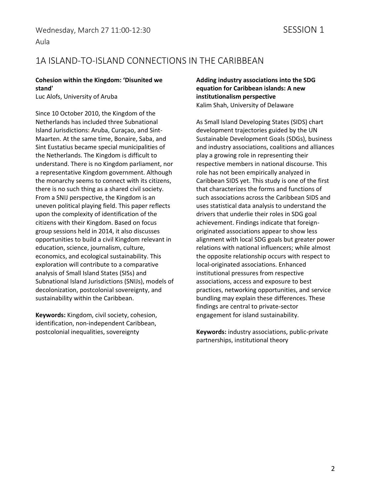### Aula

### 1A ISLAND-TO-ISLAND CONNECTIONS IN THE CARIBBEAN

#### **Cohesion within the Kingdom: 'Disunited we stand'**

Luc Alofs, University of Aruba

Since 10 October 2010, the Kingdom of the Netherlands has included three Subnational Island Jurisdictions: Aruba, Curaçao, and Sint-Maarten. At the same time, Bonaire, Saba, and Sint Eustatius became special municipalities of the Netherlands. The Kingdom is difficult to understand. There is no Kingdom parliament, nor a representative Kingdom government. Although the monarchy seems to connect with its citizens, there is no such thing as a shared civil society. From a SNIJ perspective, the Kingdom is an uneven political playing field. This paper reflects upon the complexity of identification of the citizens with their Kingdom. Based on focus group sessions held in 2014, it also discusses opportunities to build a civil Kingdom relevant in education, science, journalism, culture, economics, and ecological sustainability. This exploration will contribute to a comparative analysis of Small Island States (SISs) and Subnational Island Jurisdictions (SNIJs), models of decolonization, postcolonial sovereignty, and sustainability within the Caribbean.

**Keywords:** Kingdom, civil society, cohesion, identification, non-independent Caribbean, postcolonial inequalities, sovereignty

#### **Adding industry associations into the SDG equation for Caribbean islands: A new institutionalism perspective** Kalim Shah, University of Delaware

As Small Island Developing States (SIDS) chart development trajectories guided by the UN Sustainable Development Goals (SDGs), business and industry associations, coalitions and alliances play a growing role in representing their respective members in national discourse. This role has not been empirically analyzed in Caribbean SIDS yet. This study is one of the first that characterizes the forms and functions of such associations across the Caribbean SIDS and uses statistical data analysis to understand the drivers that underlie their roles in SDG goal achievement. Findings indicate that foreignoriginated associations appear to show less alignment with local SDG goals but greater power relations with national influencers; while almost the opposite relationship occurs with respect to local-originated associations. Enhanced institutional pressures from respective associations, access and exposure to best practices, networking opportunities, and service bundling may explain these differences. These findings are central to private-sector engagement for island sustainability.

**Keywords:** industry associations, public-private partnerships, institutional theory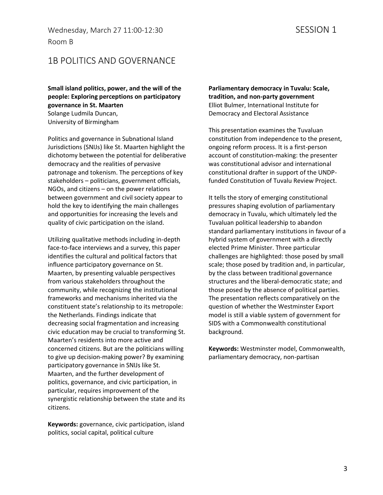Wednesday, March 27 11:00-12:30 SESSION 1 Room B

### 1B POLITICS AND GOVERNANCE

**Small island politics, power, and the will of the people: Exploring perceptions on participatory governance in St. Maarten** Solange Ludmila Duncan, University of Birmingham

Politics and governance in Subnational Island Jurisdictions (SNIJs) like St. Maarten highlight the dichotomy between the potential for deliberative democracy and the realities of pervasive patronage and tokenism. The perceptions of key stakeholders – politicians, government officials, NGOs, and citizens – on the power relations between government and civil society appear to hold the key to identifying the main challenges and opportunities for increasing the levels and quality of civic participation on the island.

Utilizing qualitative methods including in-depth face-to-face interviews and a survey, this paper identifies the cultural and political factors that influence participatory governance on St. Maarten, by presenting valuable perspectives from various stakeholders throughout the community, while recognizing the institutional frameworks and mechanisms inherited via the constituent state's relationship to its metropole: the Netherlands. Findings indicate that decreasing social fragmentation and increasing civic education may be crucial to transforming St. Maarten's residents into more active and concerned citizens. But are the politicians willing to give up decision-making power? By examining participatory governance in SNIJs like St. Maarten, and the further development of politics, governance, and civic participation, in particular, requires improvement of the synergistic relationship between the state and its citizens.

**Keywords:** governance, civic participation, island politics, social capital, political culture

**Parliamentary democracy in Tuvalu: Scale, tradition, and non-party government** Elliot Bulmer, International Institute for Democracy and Electoral Assistance

This presentation examines the Tuvaluan constitution from independence to the present, ongoing reform process. It is a first-person account of constitution-making: the presenter was constitutional advisor and international constitutional drafter in support of the UNDPfunded Constitution of Tuvalu Review Project.

It tells the story of emerging constitutional pressures shaping evolution of parliamentary democracy in Tuvalu, which ultimately led the Tuvaluan political leadership to abandon standard parliamentary institutions in favour of a hybrid system of government with a directly elected Prime Minister. Three particular challenges are highlighted: those posed by small scale; those posed by tradition and, in particular, by the class between traditional governance structures and the liberal-democratic state; and those posed by the absence of political parties. The presentation reflects comparatively on the question of whether the Westminster Export model is still a viable system of government for SIDS with a Commonwealth constitutional background.

**Keywords:** Westminster model, Commonwealth, parliamentary democracy, non-partisan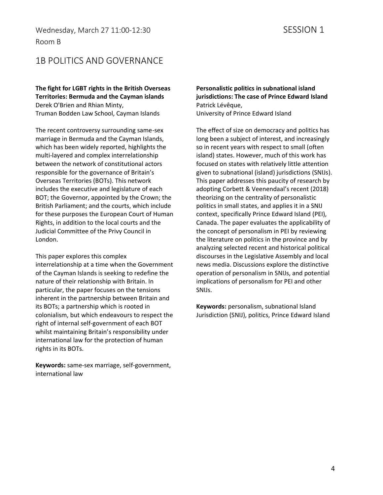Wednesday, March 27 11:00-12:30 SESSION 1 Room B

### 1B POLITICS AND GOVERNANCE

**The fight for LGBT rights in the British Overseas Territories: Bermuda and the Cayman islands** Derek O'Brien and Rhian Minty, Truman Bodden Law School, Cayman Islands

The recent controversy surrounding same-sex marriage in Bermuda and the Cayman Islands, which has been widely reported, highlights the multi-layered and complex interrelationship between the network of constitutional actors responsible for the governance of Britain's Overseas Territories (BOTs). This network includes the executive and legislature of each BOT; the Governor, appointed by the Crown; the British Parliament; and the courts, which include for these purposes the European Court of Human Rights, in addition to the local courts and the Judicial Committee of the Privy Council in London.

This paper explores this complex interrelationship at a time when the Government of the Cayman Islands is seeking to redefine the nature of their relationship with Britain. In particular, the paper focuses on the tensions inherent in the partnership between Britain and its BOTs; a partnership which is rooted in colonialism, but which endeavours to respect the right of internal self-government of each BOT whilst maintaining Britain's responsibility under international law for the protection of human rights in its BOTs.

**Keywords:** same-sex marriage, self-government, international law

**Personalistic politics in subnational island jurisdictions: The case of Prince Edward Island** Patrick Lévêque, University of Prince Edward Island

The effect of size on democracy and politics has long been a subject of interest, and increasingly so in recent years with respect to small (often island) states. However, much of this work has focused on states with relatively little attention given to subnational (island) jurisdictions (SNIJs). This paper addresses this paucity of research by adopting Corbett & Veenendaal's recent (2018) theorizing on the centrality of personalistic politics in small states, and applies it in a SNIJ context, specifically Prince Edward Island (PEI), Canada. The paper evaluates the applicability of the concept of personalism in PEI by reviewing the literature on politics in the province and by analyzing selected recent and historical political discourses in the Legislative Assembly and local news media. Discussions explore the distinctive operation of personalism in SNIJs, and potential implications of personalism for PEI and other SNIJs.

**Keywords:** personalism, subnational Island Jurisdiction (SNIJ), politics, Prince Edward Island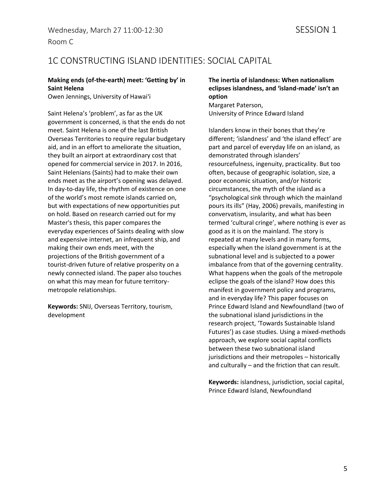### 1C CONSTRUCTING ISLAND IDENTITIES: SOCIAL CAPITAL

#### **Making ends (of-the-earth) meet: 'Getting by' in Saint Helena**

Owen Jennings, University of Hawaiʻi

Saint Helena's 'problem', as far as the UK government is concerned, is that the ends do not meet. Saint Helena is one of the last British Overseas Territories to require regular budgetary aid, and in an effort to ameliorate the situation, they built an airport at extraordinary cost that opened for commercial service in 2017. In 2016, Saint Helenians (Saints) had to make their own ends meet as the airport's opening was delayed. In day-to-day life, the rhythm of existence on one of the world's most remote islands carried on, but with expectations of new opportunities put on hold. Based on research carried out for my Master's thesis, this paper compares the everyday experiences of Saints dealing with slow and expensive internet, an infrequent ship, and making their own ends meet, with the projections of the British government of a tourist-driven future of relative prosperity on a newly connected island. The paper also touches on what this may mean for future territorymetropole relationships.

**Keywords:** SNIJ, Overseas Territory, tourism, development

#### **The inertia of islandness: When nationalism eclipses islandness, and 'island-made' isn't an option**

Margaret Paterson, University of Prince Edward Island

Islanders know in their bones that they're different; 'islandness' and 'the island effect' are part and parcel of everyday life on an island, as demonstrated through islanders' resourcefulness, ingenuity, practicality. But too often, because of geographic isolation, size, a poor economic situation, and/or historic circumstances, the myth of the island as a "psychological sink through which the mainland pours its ills" (Hay, 2006) prevails, manifesting in convervatism, insularity, and what has been termed 'cultural cringe', where nothing is ever as good as it is on the mainland. The story is repeated at many levels and in many forms, especially when the island government is at the subnational level and is subjected to a power imbalance from that of the governing centrality. What happens when the goals of the metropole eclipse the goals of the island? How does this manifest in government policy and programs, and in everyday life? This paper focuses on Prince Edward Island and Newfoundland (two of the subnational island jurisdictions in the research project, 'Towards Sustainable Island Futures') as case studies. Using a mixed-methods approach, we explore social capital conflicts between these two subnational island jurisdictions and their metropoles – historically and culturally – and the friction that can result.

**Keywords:** islandness, jurisdiction, social capital, Prince Edward Island, Newfoundland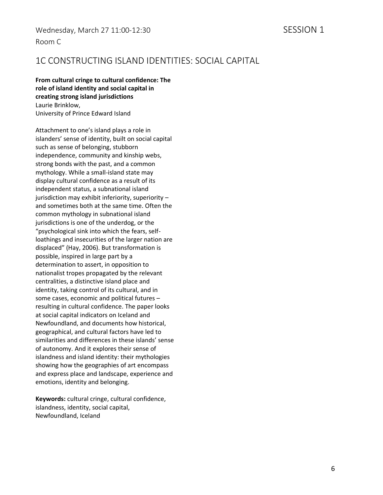### 1C CONSTRUCTING ISLAND IDENTITIES: SOCIAL CAPITAL

**From cultural cringe to cultural confidence: The role of island identity and social capital in creating strong island jurisdictions** Laurie Brinklow, University of Prince Edward Island

Attachment to one's island plays a role in islanders' sense of identity, built on social capital such as sense of belonging, stubborn independence, community and kinship webs, strong bonds with the past, and a common mythology. While a small-island state may display cultural confidence as a result of its independent status, a subnational island jurisdiction may exhibit inferiority, superiority – and sometimes both at the same time. Often the common mythology in subnational island jurisdictions is one of the underdog, or the "psychological sink into which the fears, selfloathings and insecurities of the larger nation are displaced" (Hay, 2006). But transformation is possible, inspired in large part by a determination to assert, in opposition to nationalist tropes propagated by the relevant centralities, a distinctive island place and identity, taking control of its cultural, and in some cases, economic and political futures – resulting in cultural confidence. The paper looks at social capital indicators on Iceland and Newfoundland, and documents how historical, geographical, and cultural factors have led to similarities and differences in these islands' sense of autonomy. And it explores their sense of islandness and island identity: their mythologies showing how the geographies of art encompass and express place and landscape, experience and emotions, identity and belonging.

**Keywords:** cultural cringe, cultural confidence, islandness, identity, social capital, Newfoundland, Iceland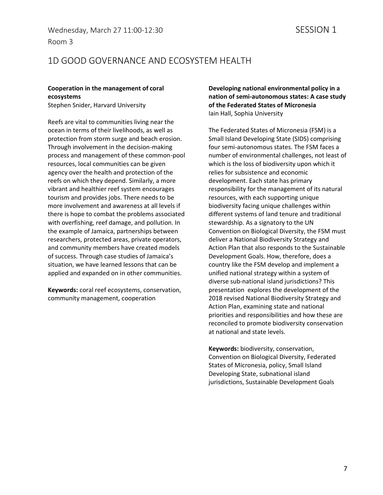### 1D GOOD GOVERNANCE AND ECOSYSTEM HEALTH

#### **Cooperation in the management of coral ecosystems**

Stephen Snider, Harvard University

Reefs are vital to communities living near the ocean in terms of their livelihoods, as well as protection from storm surge and beach erosion. Through involvement in the decision-making process and management of these common-pool resources, local communities can be given agency over the health and protection of the reefs on which they depend. Similarly, a more vibrant and healthier reef system encourages tourism and provides jobs. There needs to be more involvement and awareness at all levels if there is hope to combat the problems associated with overfishing, reef damage, and pollution. In the example of Jamaica, partnerships between researchers, protected areas, private operators, and community members have created models of success. Through case studies of Jamaica's situation, we have learned lessons that can be applied and expanded on in other communities.

**Keywords:** coral reef ecosystems, conservation, community management, cooperation

**Developing national environmental policy in a nation of semi-autonomous states: A case study of the Federated States of Micronesia** Iain Hall, Sophia University

The Federated States of Micronesia (FSM) is a Small Island Developing State (SIDS) comprising four semi-autonomous states. The FSM faces a number of environmental challenges, not least of which is the loss of biodiversity upon which it relies for subsistence and economic development. Each state has primary responsibility for the management of its natural resources, with each supporting unique biodiversity facing unique challenges within different systems of land tenure and traditional stewardship. As a signatory to the UN Convention on Biological Diversity, the FSM must deliver a National Biodiversity Strategy and Action Plan that also responds to the Sustainable Development Goals. How, therefore, does a country like the FSM develop and implement a unified national strategy within a system of diverse sub-national island jurisdictions? This presentation explores the development of the 2018 revised National Biodiversity Strategy and Action Plan, examining state and national priorities and responsibilities and how these are reconciled to promote biodiversity conservation at national and state levels.

**Keywords:** biodiversity, conservation, Convention on Biological Diversity, Federated States of Micronesia, policy, Small Island Developing State, subnational island jurisdictions, Sustainable Development Goals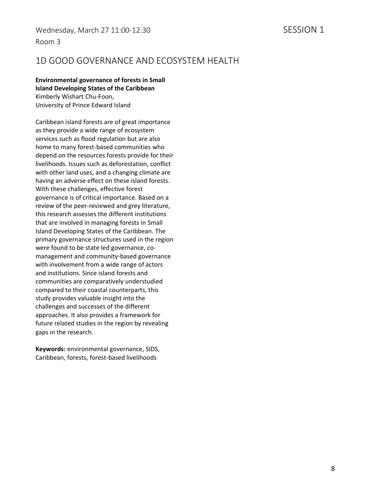### 1D GOOD GOVERNANCE AND ECOSYSTEM HEALTH

**Environmental governance of forests in Small Island Developing States of the Caribbean** Kimberly Wishart Chu-Foon, University of Prince Edward Island

Caribbean island forests are of great importance as they provide a wide range of ecosystem services such as flood regulation but are also home to many forest-based communities who depend on the resources forests provide for their livelihoods. Issues such as deforestation, conflict with other land uses, and a changing climate are having an adverse effect on these island forests. With these challenges, effective forest governance is of critical importance. Based on a review of the peer-reviewed and grey literature, this research assesses the different institutions that are involved in managing forests in Small Island Developing States of the Caribbean. The primary governance structures used in the region were found to be state led governance, comanagement and community-based governance with involvement from a wide range of actors and institutions. Since island forests and communities are comparatively understudied compared to their coastal counterparts, this study provides valuable insight into the challenges and successes of the different approaches. It also provides a framework for future related studies in the region by revealing gaps in the research.

**Keywords:** environmental governance, SIDS, Caribbean, forests, forest-based livelihoods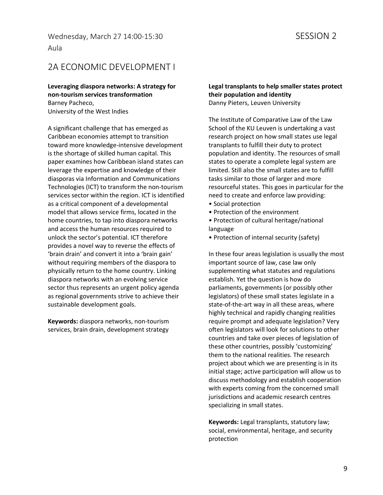#### Wednesday, March 27 14:00-15:30 SESSION 2 Aula

### 2A ECONOMIC DEVELOPMENT I

**Leveraging diaspora networks: A strategy for non-tourism services transformation** Barney Pacheco, University of the West Indies

A significant challenge that has emerged as Caribbean economies attempt to transition toward more knowledge-intensive development is the shortage of skilled human capital. This paper examines how Caribbean island states can leverage the expertise and knowledge of their diasporas via Information and Communications Technologies (ICT) to transform the non-tourism services sector within the region. ICT is identified as a critical component of a developmental model that allows service firms, located in the home countries, to tap into diaspora networks and access the human resources required to unlock the sector's potential. ICT therefore provides a novel way to reverse the effects of 'brain drain' and convert it into a 'brain gain' without requiring members of the diaspora to physically return to the home country. Linking diaspora networks with an evolving service sector thus represents an urgent policy agenda as regional governments strive to achieve their sustainable development goals.

**Keywords:** diaspora networks, non-tourism services, brain drain, development strategy

#### **Legal transplants to help smaller states protect their population and identity** Danny Pieters, Leuven University

The Institute of Comparative Law of the Law School of the KU Leuven is undertaking a vast research project on how small states use legal transplants to fulfill their duty to protect population and identity. The resources of small states to operate a complete legal system are limited. Still also the small states are to fulfill tasks similar to those of larger and more resourceful states. This goes in particular for the need to create and enforce law providing:

- Social protection
- Protection of the environment

• Protection of cultural heritage/national language

• Protection of internal security (safety)

In these four areas legislation is usually the most important source of law, case law only supplementing what statutes and regulations establish. Yet the question is how do parliaments, governments (or possibly other legislators) of these small states legislate in a state-of-the-art way in all these areas, where highly technical and rapidly changing realities require prompt and adequate legislation? Very often legislators will look for solutions to other countries and take over pieces of legislation of these other countries, possibly 'customizing' them to the national realities. The research project about which we are presenting is in its initial stage; active participation will allow us to discuss methodology and establish cooperation with experts coming from the concerned small jurisdictions and academic research centres specializing in small states.

**Keywords:** Legal transplants, statutory law; social, environmental, heritage, and security protection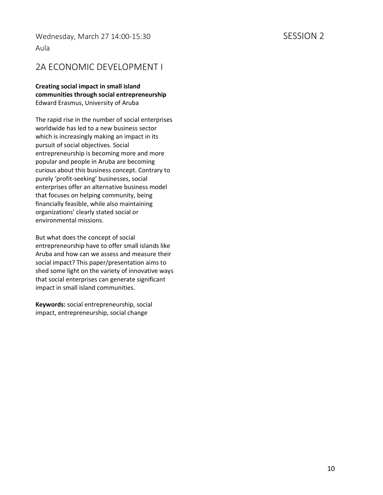#### Wednesday, March 27 14:00-15:30 SESSION 2 Aula

### 2A ECONOMIC DEVELOPMENT I

**Creating social impact in small island communities through social entrepreneurship** Edward Erasmus, University of Aruba

The rapid rise in the number of social enterprises worldwide has led to a new business sector which is increasingly making an impact in its pursuit of social objectives. Social entrepreneurship is becoming more and more popular and people in Aruba are becoming curious about this business concept. Contrary to purely 'profit-seeking' businesses, social enterprises offer an alternative business model that focuses on helping community, being financially feasible, while also maintaining organizations' clearly stated social or environmental missions.

But what does the concept of social entrepreneurship have to offer small islands like Aruba and how can we assess and measure their social impact? This paper/presentation aims to shed some light on the variety of innovative ways that social enterprises can generate significant impact in small island communities.

**Keywords:** social entrepreneurship, social impact, entrepreneurship, social change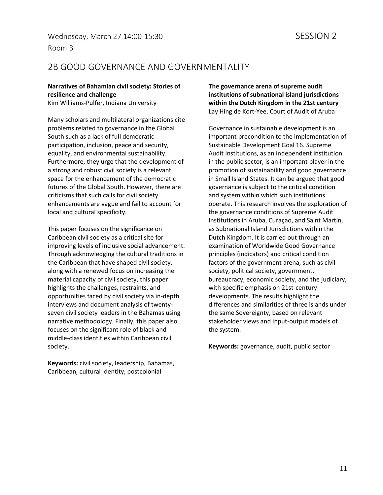### 2B GOOD GOVERNANCE AND GOVERNMENTALITY

#### **Narratives of Bahamian civil society: Stories of resilience and challenge**

Kim Williams-Pulfer, Indiana University

Many scholars and multilateral organizations cite problems related to governance in the Global South such as a lack of full democratic participation, inclusion, peace and security, equality, and environmental sustainability. Furthermore, they urge that the development of a strong and robust civil society is a relevant space for the enhancement of the democratic futures of the Global South. However, there are criticisms that such calls for civil society enhancements are vague and fail to account for local and cultural specificity.

This paper focuses on the significance on Caribbean civil society as a critical site for improving levels of inclusive social advancement. Through acknowledging the cultural traditions in the Caribbean that have shaped civil society, along with a renewed focus on increasing the material capacity of civil society, this paper highlights the challenges, restraints, and opportunities faced by civil society via in-depth interviews and document analysis of twentyseven civil society leaders in the Bahamas using narrative methodology. Finally, this paper also focuses on the significant role of black and middle-class identities within Caribbean civil society.

**Keywords:** civil society, leadership, Bahamas, Caribbean, cultural identity, postcolonial

**The governance arena of supreme audit institutions of subnational island jurisdictions within the Dutch Kingdom in the 21st century** Lay Hing de Kort-Yee, Court of Audit of Aruba

Governance in sustainable development is an important precondition to the implementation of Sustainable Development Goal 16. Supreme Audit Institutions, as an independent institution in the public sector, is an important player in the promotion of sustainability and good governance in Small Island States. It can be argued that good governance is subject to the critical condition and system within which such institutions operate. This research involves the exploration of the governance conditions of Supreme Audit Institutions in Aruba, Curaçao, and Saint Martin, as Subnational Island Jurisdictions within the Dutch Kingdom. It is carried out through an examination of Worldwide Good Governance principles (indicators) and critical condition factors of the government arena, such as civil society, political society, government, bureaucracy, economic society, and the judiciary, with specific emphasis on 21st-century developments. The results highlight the differences and similarities of three islands under the same Sovereignty, based on relevant stakeholder views and input-output models of the system.

**Keywords:** governance, audit, public sector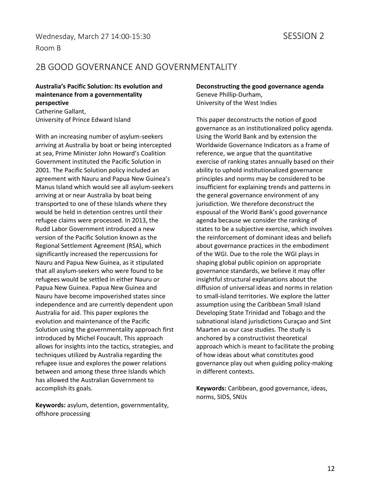### 2B GOOD GOVERNANCE AND GOVERNMENTALITY

**Australia's Pacific Solution: Its evolution and maintenance from a governmentality perspective**

Catherine Gallant, University of Prince Edward Island

With an increasing number of asylum-seekers arriving at Australia by boat or being intercepted at sea, Prime Minister John Howard's Coalition Government instituted the Pacific Solution in 2001. The Pacific Solution policy included an agreement with Nauru and Papua New Guinea's Manus Island which would see all asylum-seekers arriving at or near Australia by boat being transported to one of these Islands where they would be held in detention centres until their refugee claims were processed. In 2013, the Rudd Labor Government introduced a new version of the Pacific Solution known as the Regional Settlement Agreement (RSA), which significantly increased the repercussions for Nauru and Papua New Guinea, as it stipulated that all asylum-seekers who were found to be refugees would be settled in either Nauru or Papua New Guinea. Papua New Guinea and Nauru have become impoverished states since independence and are currently dependent upon Australia for aid. This paper explores the evolution and maintenance of the Pacific Solution using the governmentality approach first introduced by Michel Foucault. This approach allows for insights into the tactics, strategies, and techniques utilized by Australia regarding the refugee issue and explores the power relations between and among these three Islands which has allowed the Australian Government to accomplish its goals.

**Keywords:** asylum, detention, governmentality, offshore processing

**Deconstructing the good governance agenda** Geneve Phillip-Durham, University of the West Indies

This paper deconstructs the notion of good governance as an institutionalized policy agenda. Using the World Bank and by extension the Worldwide Governance Indicators as a frame of reference, we argue that the quantitative exercise of ranking states annually based on their ability to uphold institutionalized governance principles and norms may be considered to be insufficient for explaining trends and patterns in the general governance environment of any jurisdiction. We therefore deconstruct the espousal of the World Bank's good governance agenda because we consider the ranking of states to be a subjective exercise, which involves the reinforcement of dominant ideas and beliefs about governance practices in the embodiment of the WGI. Due to the role the WGI plays in shaping global public opinion on appropriate governance standards, we believe it may offer insightful structural explanations about the diffusion of universal ideas and norms in relation to small-island territories. We explore the latter assumption using the Caribbean Small Island Developing State Trinidad and Tobago and the subnational island jurisdictions Curaçao and Sint Maarten as our case studies. The study is anchored by a constructivist theoretical approach which is meant to facilitate the probing of how ideas about what constitutes good governance play out when guiding policy-making in different contexts.

**Keywords:** Caribbean, good governance, ideas, norms, SIDS, SNIJs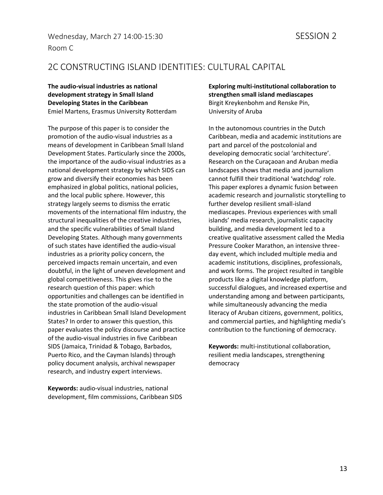### 2C CONSTRUCTING ISLAND IDENTITIES: CULTURAL CAPITAL

**The audio-visual industries as national development strategy in Small Island Developing States in the Caribbean** Emiel Martens, Erasmus University Rotterdam

The purpose of this paper is to consider the promotion of the audio-visual industries as a means of development in Caribbean Small Island Development States. Particularly since the 2000s, the importance of the audio-visual industries as a national development strategy by which SIDS can grow and diversify their economies has been emphasized in global politics, national policies, and the local public sphere. However, this strategy largely seems to dismiss the erratic movements of the international film industry, the structural inequalities of the creative industries, and the specific vulnerabilities of Small Island Developing States. Although many governments of such states have identified the audio-visual industries as a priority policy concern, the perceived impacts remain uncertain, and even doubtful, in the light of uneven development and global competitiveness. This gives rise to the research question of this paper: which opportunities and challenges can be identified in the state promotion of the audio-visual industries in Caribbean Small Island Development States? In order to answer this question, this paper evaluates the policy discourse and practice of the audio-visual industries in five Caribbean SIDS (Jamaica, Trinidad & Tobago, Barbados, Puerto Rico, and the Cayman Islands) through policy document analysis, archival newspaper research, and industry expert interviews.

**Keywords:** audio-visual industries, national development, film commissions, Caribbean SIDS **Exploring multi-institutional collaboration to strengthen small island mediascapes** Birgit Kreykenbohm and Renske Pin, University of Aruba

In the autonomous countries in the Dutch Caribbean, media and academic institutions are part and parcel of the postcolonial and developing democratic social 'architecture'. Research on the Curaçaoan and Aruban media landscapes shows that media and journalism cannot fulfill their traditional 'watchdog' role. This paper explores a dynamic fusion between academic research and journalistic storytelling to further develop resilient small-island mediascapes. Previous experiences with small islands' media research, journalistic capacity building, and media development led to a creative qualitative assessment called the Media Pressure Cooker Marathon, an intensive threeday event, which included multiple media and academic institutions, disciplines, professionals, and work forms. The project resulted in tangible products like a digital knowledge platform, successful dialogues, and increased expertise and understanding among and between participants, while simultaneously advancing the media literacy of Aruban citizens, government, politics, and commercial parties, and highlighting media's contribution to the functioning of democracy.

**Keywords:** multi-institutional collaboration, resilient media landscapes, strengthening democracy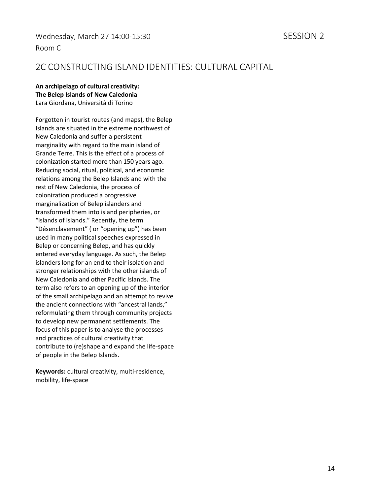### 2C CONSTRUCTING ISLAND IDENTITIES: CULTURAL CAPITAL

#### **An archipelago of cultural creativity: The Belep Islands of New Caledonia** Lara Giordana, Università di Torino

Forgotten in tourist routes (and maps), the Belep Islands are situated in the extreme northwest of New Caledonia and suffer a persistent marginality with regard to the main island of Grande Terre. This is the effect of a process of colonization started more than 150 years ago. Reducing social, ritual, political, and economic relations among the Belep Islands and with the rest of New Caledonia, the process of colonization produced a progressive marginalization of Belep islanders and transformed them into island peripheries, or "islands of islands." Recently, the term "Désenclavement" ( or "opening up") has been used in many political speeches expressed in Belep or concerning Belep, and has quickly entered everyday language. As such, the Belep islanders long for an end to their isolation and stronger relationships with the other islands of New Caledonia and other Pacific Islands. The term also refers to an opening up of the interior of the small archipelago and an attempt to revive the ancient connections with "ancestral lands," reformulating them through community projects to develop new permanent settlements. The focus of this paper is to analyse the processes and practices of cultural creativity that contribute to (re)shape and expand the life-space of people in the Belep Islands.

**Keywords:** cultural creativity, multi-residence, mobility, life-space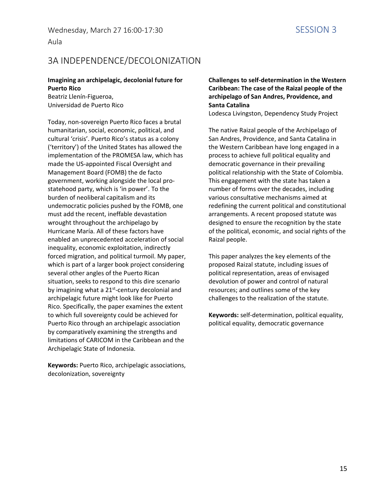### 3A INDEPENDENCE/DECOLONIZATION

#### **Imagining an archipelagic, decolonial future for Puerto Rico**

Beatriz Llenín-Figueroa, Universidad de Puerto Rico

Today, non-sovereign Puerto Rico faces a brutal humanitarian, social, economic, political, and cultural 'crisis'. Puerto Rico's status as a colony ('territory') of the United States has allowed the implementation of the PROMESA law, which has made the US-appointed Fiscal Oversight and Management Board (FOMB) the de facto government, working alongside the local prostatehood party, which is 'in power'. To the burden of neoliberal capitalism and its undemocratic policies pushed by the FOMB, one must add the recent, ineffable devastation wrought throughout the archipelago by Hurricane María. All of these factors have enabled an unprecedented acceleration of social inequality, economic exploitation, indirectly forced migration, and political turmoil. My paper, which is part of a larger book project considering several other angles of the Puerto Rican situation, seeks to respond to this dire scenario by imagining what a 21<sup>st</sup>-century decolonial and archipelagic future might look like for Puerto Rico. Specifically, the paper examines the extent to which full sovereignty could be achieved for Puerto Rico through an archipelagic association by comparatively examining the strengths and limitations of CARICOM in the Caribbean and the Archipelagic State of Indonesia.

**Keywords:** Puerto Rico, archipelagic associations, decolonization, sovereignty

#### **Challenges to self-determination in the Western Caribbean: The case of the Raizal people of the archipelago of San Andres, Providence, and Santa Catalina**

Lodesca Livingston, Dependency Study Project

The native Raizal people of the Archipelago of San Andres, Providence, and Santa Catalina in the Western Caribbean have long engaged in a process to achieve full political equality and democratic governance in their prevailing political relationship with the State of Colombia. This engagement with the state has taken a number of forms over the decades, including various consultative mechanisms aimed at redefining the current political and constitutional arrangements. A recent proposed statute was designed to ensure the recognition by the state of the political, economic, and social rights of the Raizal people.

This paper analyzes the key elements of the proposed Raizal statute, including issues of political representation, areas of envisaged devolution of power and control of natural resources; and outlines some of the key challenges to the realization of the statute.

**Keywords:** self-determination, political equality, political equality, democratic governance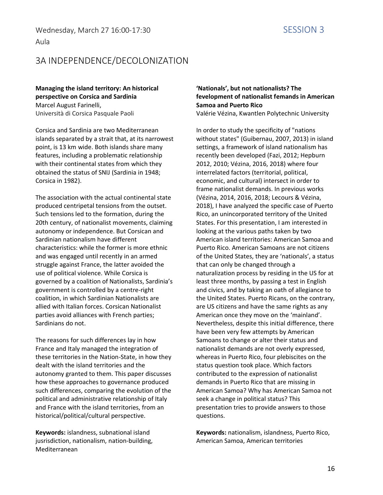#### Aula

### 3A INDEPENDENCE/DECOLONIZATION

#### **Managing the island territory: An historical perspective on Corsica and Sardinia** Marcel August Farinelli,

Università di Corsica Pasquale Paoli

Corsica and Sardinia are two Mediterranean islands separated by a strait that, at its narrowest point, is 13 km wide. Both islands share many features, including a problematic relationship with their continental states from which they obtained the status of SNIJ (Sardinia in 1948; Corsica in 1982).

The association with the actual continental state produced centripetal tensions from the outset. Such tensions led to the formation, during the 20th century, of nationalist movements, claiming autonomy or independence. But Corsican and Sardinian nationalism have different characteristics: while the former is more ethnic and was engaged until recently in an armed struggle against France, the latter avoided the use of political violence. While Corsica is governed by a coalition of Nationalists, Sardinia's government is controlled by a centre-right coalition, in which Sardinian Nationalists are allied with Italian forces. Corsican Nationalist parties avoid alliances with French parties; Sardinians do not.

The reasons for such differences lay in how France and Italy managed the integration of these territories in the Nation-State, in how they dealt with the island territories and the autonomy granted to them. This paper discusses how these approaches to governance produced such differences, comparing the evolution of the political and administrative relationship of Italy and France with the island territories, from an historical/political/cultural perspective.

**Keywords:** islandness, subnational island jusrisdiction, nationalism, nation-building, Mediterranean

#### **'Nationals', but not nationalists? The fevelopment of nationalist femands in American Samoa and Puerto Rico** Valérie Vézina, Kwantlen Polytechnic University

In order to study the specificity of "nations without states" (Guibernau, 2007, 2013) in island settings, a framework of island nationalism has recently been developed (Fazi, 2012; Hepburn 2012, 2010; Vézina, 2016, 2018) where four interrelated factors (territorial, political, economic, and cultural) intersect in order to frame nationalist demands. In previous works (Vézina, 2014, 2016, 2018; Lecours & Vézina, 2018), I have analyzed the specific case of Puerto Rico, an unincorporated territory of the United States. For this presentation, I am interested in looking at the various paths taken by two American island territories: American Samoa and Puerto Rico. American Samoans are not citizens of the United States, they are 'nationals', a status that can only be changed through a naturalization process by residing in the US for at least three months, by passing a test in English and civics, and by taking an oath of allegiance to the United States. Puerto Ricans, on the contrary, are US citizens and have the same rights as any American once they move on the 'mainland'. Nevertheless, despite this initial difference, there have been very few attempts by American Samoans to change or alter their status and nationalist demands are not overly expressed, whereas in Puerto Rico, four plebiscites on the status question took place. Which factors contributed to the expression of nationalist demands in Puerto Rico that are missing in American Samoa? Why has American Samoa not seek a change in political status? This presentation tries to provide answers to those questions.

**Keywords:** nationalism, islandness, Puerto Rico, American Samoa, American territories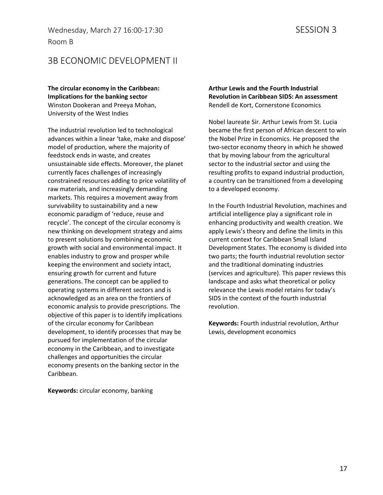Wednesday, March 27 16:00-17:30 SESSION 3 Room B

### 3B ECONOMIC DEVELOPMENT II

#### **The circular economy in the Caribbean: Implications for the banking sector** Winston Dookeran and Preeya Mohan,

University of the West Indies

The industrial revolution led to technological advances within a linear 'take, make and dispose' model of production, where the majority of feedstock ends in waste, and creates unsustainable side effects. Moreover, the planet currently faces challenges of increasingly constrained resources adding to price volatility of raw materials, and increasingly demanding markets. This requires a movement away from survivability to sustainability and a new economic paradigm of 'reduce, reuse and recycle'. The concept of the circular economy is new thinking on development strategy and aims to present solutions by combining economic growth with social and environmental impact. It enables industry to grow and prosper while keeping the environment and society intact, ensuring growth for current and future generations. The concept can be applied to operating systems in different sectors and is acknowledged as an area on the frontiers of economic analysis to provide prescriptions. The objective of this paper is to identify implications of the circular economy for Caribbean development, to identify processes that may be pursued for implementation of the circular economy in the Caribbean, and to investigate challenges and opportunities the circular economy presents on the banking sector in the Caribbean.

**Arthur Lewis and the Fourth Industrial Revolution in Caribbean SIDS: An assessment** Rendell de Kort, Cornerstone Economics

Nobel laureate Sir. Arthur Lewis from St. Lucia became the first person of African descent to win the Nobel Prize in Economics. He proposed the two-sector economy theory in which he showed that by moving labour from the agricultural sector to the industrial sector and using the resulting profits to expand industrial production, a country can be transitioned from a developing to a developed economy.

In the Fourth Industrial Revolution, machines and artificial intelligence play a significant role in enhancing productivity and wealth creation. We apply Lewis's theory and define the limits in this current context for Caribbean Small Island Development States. The economy is divided into two parts; the fourth industrial revolution sector and the traditional dominating industries (services and agriculture). This paper reviews this landscape and asks what theoretical or policy relevance the Lewis model retains for today's SIDS in the context of the fourth industrial revolution.

**Keywords:** Fourth industrial revolution, Arthur Lewis, development economics

**Keywords:** circular economy, banking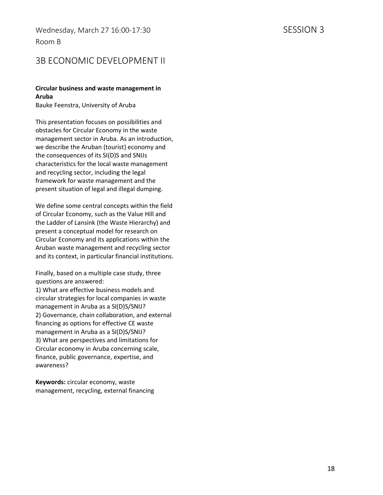### 3B ECONOMIC DEVELOPMENT II

#### **Circular business and waste management in Aruba**

Bauke Feenstra, University of Aruba

This presentation focuses on possibilities and obstacles for Circular Economy in the waste management sector in Aruba. As an introduction, we describe the Aruban (tourist) economy and the consequences of its SI(D)S and SNIJs characteristics for the local waste management and recycling sector, including the legal framework for waste management and the present situation of legal and illegal dumping.

We define some central concepts within the field of Circular Economy, such as the Value Hill and the Ladder of Lansink (the Waste Hierarchy) and present a conceptual model for research on Circular Economy and its applications within the Aruban waste management and recycling sector and its context, in particular financial institutions.

Finally, based on a multiple case study, three questions are answered:

1) What are effective business models and circular strategies for local companies in waste management in Aruba as a SI(D)S/SNIJ? 2) Governance, chain collaboration, and external financing as options for effective CE waste management in Aruba as a SI(D)S/SNIJ? 3) What are perspectives and limitations for Circular economy in Aruba concerning scale, finance, public governance, expertise, and awareness?

**Keywords:** circular economy, waste management, recycling, external financing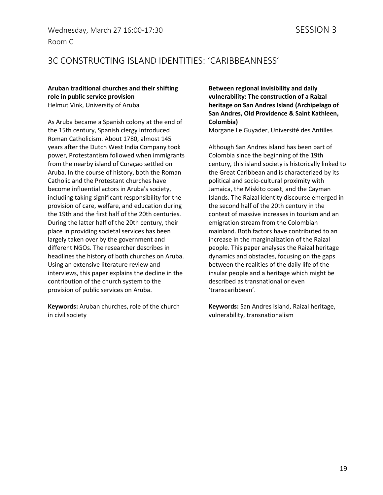### Wednesday, March 27 16:00-17:30 SESSION 3 Room C

## 3C CONSTRUCTING ISLAND IDENTITIES: 'CARIBBEANNESS'

#### **Aruban traditional churches and their shifting role in public service provision** Helmut Vink, University of Aruba

As Aruba became a Spanish colony at the end of the 15th century, Spanish clergy introduced Roman Catholicism. About 1780, almost 145 years after the Dutch West India Company took power, Protestantism followed when immigrants from the nearby island of Curaçao settled on Aruba. In the course of history, both the Roman Catholic and the Protestant churches have become influential actors in Aruba's society, including taking significant responsibility for the provision of care, welfare, and education during the 19th and the first half of the 20th centuries. During the latter half of the 20th century, their place in providing societal services has been largely taken over by the government and different NGOs. The researcher describes in headlines the history of both churches on Aruba. Using an extensive literature review and interviews, this paper explains the decline in the contribution of the church system to the provision of public services on Aruba.

**Keywords:** Aruban churches, role of the church in civil society

**Between regional invisibility and daily vulnerability: The construction of a Raizal heritage on San Andres Island (Archipelago of San Andres, Old Providence & Saint Kathleen, Colombia)**

Morgane Le Guyader, Université des Antilles

Although San Andres island has been part of Colombia since the beginning of the 19th century, this island society is historically linked to the Great Caribbean and is characterized by its political and socio-cultural proximity with Jamaica, the Miskito coast, and the Cayman Islands. The Raizal identity discourse emerged in the second half of the 20th century in the context of massive increases in tourism and an emigration stream from the Colombian mainland. Both factors have contributed to an increase in the marginalization of the Raizal people. This paper analyses the Raizal heritage dynamics and obstacles, focusing on the gaps between the realities of the daily life of the insular people and a heritage which might be described as transnational or even 'transcaribbean'.

**Keywords:** San Andres Island, Raizal heritage, vulnerability, transnationalism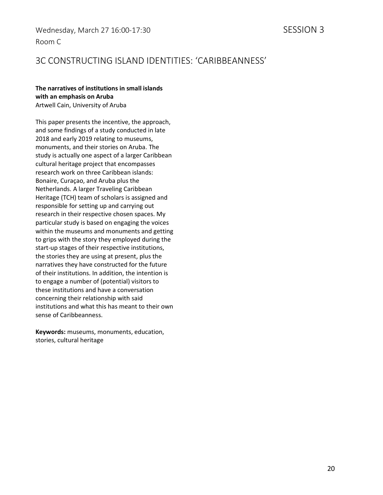### 3C CONSTRUCTING ISLAND IDENTITIES: 'CARIBBEANNESS'

#### **The narratives of institutions in small islands with an emphasis on Aruba**  Artwell Cain, University of Aruba

This paper presents the incentive, the approach, and some findings of a study conducted in late 2018 and early 2019 relating to museums, monuments, and their stories on Aruba. The study is actually one aspect of a larger Caribbean cultural heritage project that encompasses research work on three Caribbean islands: Bonaire, Curaçao, and Aruba plus the Netherlands. A larger Traveling Caribbean Heritage (TCH) team of scholars is assigned and responsible for setting up and carrying out research in their respective chosen spaces. My particular study is based on engaging the voices within the museums and monuments and getting to grips with the story they employed during the start-up stages of their respective institutions, the stories they are using at present, plus the narratives they have constructed for the future of their institutions. In addition, the intention is to engage a number of (potential) visitors to these institutions and have a conversation concerning their relationship with said institutions and what this has meant to their own sense of Caribbeanness.

**Keywords:** museums, monuments, education, stories, cultural heritage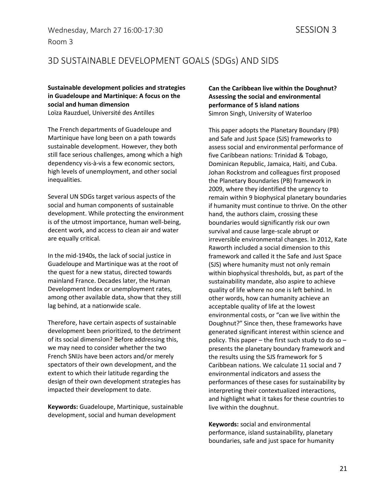### 3D SUSTAINABLE DEVELOPMENT GOALS (SDGs) AND SIDS

**Sustainable development policies and strategies in Guadeloupe and Martinique: A focus on the social and human dimension** Loïza Rauzduel, Université des Antilles

The French departments of Guadeloupe and Martinique have long been on a path towards sustainable development. However, they both still face serious challenges, among which a high dependency vis-à-vis a few economic sectors, high levels of unemployment, and other social inequalities.

Several UN SDGs target various aspects of the social and human components of sustainable development. While protecting the environment is of the utmost importance, human well-being, decent work, and access to clean air and water are equally critical.

In the mid-1940s, the lack of social justice in Guadeloupe and Martinique was at the root of the quest for a new status, directed towards mainland France. Decades later, the Human Development Index or unemployment rates, among other available data, show that they still lag behind, at a nationwide scale.

Therefore, have certain aspects of sustainable development been prioritized, to the detriment of its social dimension? Before addressing this, we may need to consider whether the two French SNIJs have been actors and/or merely spectators of their own development, and the extent to which their latitude regarding the design of their own development strategies has impacted their development to date.

**Keywords:** Guadeloupe, Martinique, sustainable development, social and human development

**Can the Caribbean live within the Doughnut? Assessing the social and environmental performance of 5 island nations** Simron Singh, University of Waterloo

This paper adopts the Planetary Boundary (PB) and Safe and Just Space (SJS) frameworks to assess social and environmental performance of five Caribbean nations: Trinidad & Tobago, Dominican Republic, Jamaica, Haiti, and Cuba. Johan Rockstrom and colleagues first proposed the Planetary Boundaries (PB) framework in 2009, where they identified the urgency to remain within 9 biophysical planetary boundaries if humanity must continue to thrive. On the other hand, the authors claim, crossing these boundaries would significantly risk our own survival and cause large-scale abrupt or irreversible environmental changes. In 2012, Kate Raworth included a social dimension to this framework and called it the Safe and Just Space (SJS) where humanity must not only remain within biophysical thresholds, but, as part of the sustainability mandate, also aspire to achieve quality of life where no one is left behind. In other words, how can humanity achieve an acceptable quality of life at the lowest environmental costs, or "can we live within the Doughnut?" Since then, these frameworks have generated significant interest within science and policy. This paper – the first such study to do so – presents the planetary boundary framework and the results using the SJS framework for 5 Caribbean nations. We calculate 11 social and 7 environmental indicators and assess the performances of these cases for sustainability by interpreting their contextualized interactions, and highlight what it takes for these countries to live within the doughnut.

**Keywords:** social and environmental performance, island sustainability, planetary boundaries, safe and just space for humanity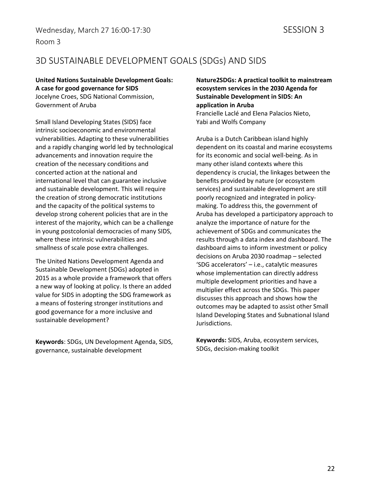### 3D SUSTAINABLE DEVELOPMENT GOALS (SDGs) AND SIDS

#### **United Nations Sustainable Development Goals: A case for good governance for SIDS**

Jocelyne Croes, SDG National Commission, Government of Aruba

Small Island Developing States (SIDS) face intrinsic socioeconomic and environmental vulnerabilities. Adapting to these vulnerabilities and a rapidly changing world led by technological advancements and innovation require the creation of the necessary conditions and concerted action at the national and international level that can guarantee inclusive and sustainable development. This will require the creation of strong democratic institutions and the capacity of the political systems to develop strong coherent policies that are in the interest of the majority, which can be a challenge in young postcolonial democracies of many SIDS, where these intrinsic vulnerabilities and smallness of scale pose extra challenges.

The United Nations Development Agenda and Sustainable Development (SDGs) adopted in 2015 as a whole provide a framework that offers a new way of looking at policy. Is there an added value for SIDS in adopting the SDG framework as a means of fostering stronger institutions and good governance for a more inclusive and sustainable development?

**Keywords**: SDGs, UN Development Agenda, SIDS, governance, sustainable development

**Nature2SDGs: A practical toolkit to mainstream ecosystem services in the 2030 Agenda for Sustainable Development in SIDS: An application in Aruba** Francielle Laclé and Elena Palacios Nieto, Yabi and Wolfs Company

Aruba is a Dutch Caribbean island highly dependent on its coastal and marine ecosystems for its economic and social well-being. As in many other island contexts where this dependency is crucial, the linkages between the benefits provided by nature (or ecosystem services) and sustainable development are still poorly recognized and integrated in policymaking. To address this, the government of Aruba has developed a participatory approach to analyze the importance of nature for the achievement of SDGs and communicates the results through a data index and dashboard. The dashboard aims to inform investment or policy decisions on Aruba 2030 roadmap – selected 'SDG accelerators' – i.e., catalytic measures whose implementation can directly address multiple development priorities and have a multiplier effect across the SDGs. This paper discusses this approach and shows how the outcomes may be adapted to assist other Small Island Developing States and Subnational Island Jurisdictions.

**Keywords:** SIDS, Aruba, ecosystem services, SDGs, decision-making toolkit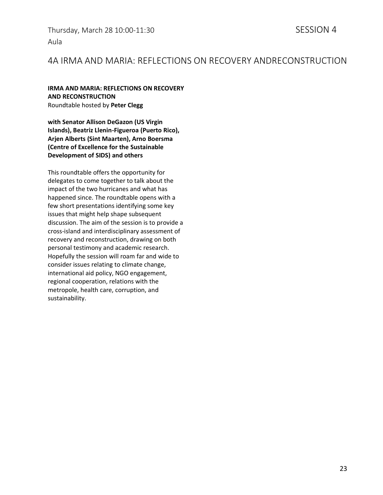Thursday, March 28 10:00-11:30 SESSION 4 Aula

### 4A IRMA AND MARIA: REFLECTIONS ON RECOVERY ANDRECONSTRUCTION

#### **IRMA AND MARIA: REFLECTIONS ON RECOVERY AND RECONSTRUCTION** Roundtable hosted by **Peter Clegg**

**with Senator Allison DeGazon (US Virgin Islands), Beatriz Llenin-Figueroa (Puerto Rico), Arjen Alberts (Sint Maarten), Arno Boersma (Centre of Excellence for the Sustainable Development of SIDS) and others**

This roundtable offers the opportunity for delegates to come together to talk about the impact of the two hurricanes and what has happened since. The roundtable opens with a few short presentations identifying some key issues that might help shape subsequent discussion. The aim of the session is to provide a cross-island and interdisciplinary assessment of recovery and reconstruction, drawing on both personal testimony and academic research. Hopefully the session will roam far and wide to consider issues relating to climate change, international aid policy, NGO engagement, regional cooperation, relations with the metropole, health care, corruption, and sustainability.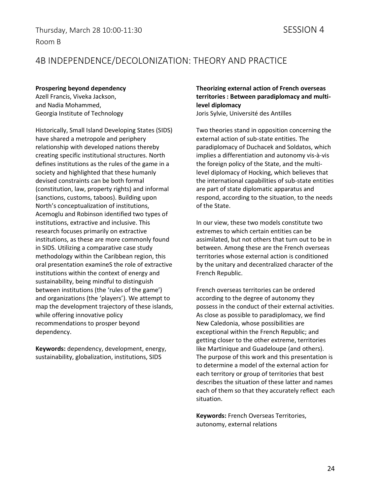### 4B INDEPENDENCE/DECOLONIZATION: THEORY AND PRACTICE

#### **Prospering beyond dependency**

Azell Francis, Viveka Jackson, and Nadia Mohammed, Georgia Institute of Technology

Historically, Small Island Developing States (SIDS) have shared a metropole and periphery relationship with developed nations thereby creating specific institutional structures. North defines institutions as the rules of the game in a society and highlighted that these humanly devised constraints can be both formal (constitution, law, property rights) and informal (sanctions, customs, taboos). Building upon North's conceptualization of institutions, Acemoglu and Robinson identified two types of institutions, extractive and inclusive. This research focuses primarily on extractive institutions, as these are more commonly found in SIDS. Utilizing a comparative case study methodology within the Caribbean region, this oral presentation examineS the role of extractive institutions within the context of energy and sustainability, being mindful to distinguish between institutions (the 'rules of the game') and organizations (the 'players'). We attempt to map the development trajectory of these islands, while offering innovative policy recommendations to prosper beyond dependency.

**Keywords:** dependency, development, energy, sustainability, globalization, institutions, SIDS

#### **Theorizing external action of French overseas territories : Between paradiplomacy and multilevel diplomacy** Joris Sylvie, Université des Antilles

Two theories stand in opposition concerning the external action of sub-state entities. The paradiplomacy of Duchacek and Soldatos, which implies a differentiation and autonomy vis-à-vis the foreign policy of the State, and the multilevel diplomacy of Hocking, which believes that the international capabilities of sub-state entities are part of state diplomatic apparatus and respond, according to the situation, to the needs of the State.

In our view, these two models constitute two extremes to which certain entities can be assimilated, but not others that turn out to be in between. Among these are the French overseas territories whose external action is conditioned by the unitary and decentralized character of the French Republic.

French overseas territories can be ordered according to the degree of autonomy they possess in the conduct of their external activities. As close as possible to paradiplomacy, we find New Caledonia, whose possibilities are exceptional within the French Republic; and getting closer to the other extreme, territories like Martinique and Guadeloupe (and others). The purpose of this work and this presentation is to determine a model of the external action for each territory or group of territories that best describes the situation of these latter and names each of them so that they accurately reflect each situation.

**Keywords:** French Overseas Territories, autonomy, external relations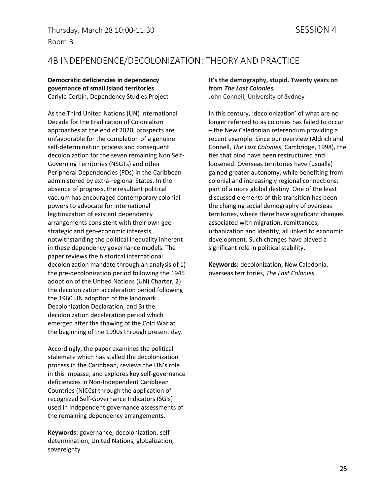### 4B INDEPENDENCE/DECOLONIZATION: THEORY AND PRACTICE

**Democratic deficiencies in dependency governance of small island territories** Carlyle Corbin, Dependency Studies Project

As the Third United Nations (UN) International Decade for the Eradication of Colonialism approaches at the end of 2020, prospects are unfavourable for the completion of a genuine self-determination process and consequent decolonization for the seven remaining Non Self-Governing Territories (NSGTs) and other Peripheral Dependencies (PDs) in the Caribbean administered by extra-regional States. In the absence of progress, the resultant political vacuum has encouraged contemporary colonial powers to advocate for international legitimization of existent dependency arrangements consistent with their own geostrategic and geo-economic interests, notwithstanding the political inequality inherent in these dependency governance models. The paper reviews the historical international decolonization mandate through an analysis of 1) the pre-decolonization period following the 1945 adoption of the United Nations (UN) Charter, 2) the decolonization acceleration period following the 1960 UN adoption of the landmark Decolonization Declaration, and 3) the decolonization deceleration period which emerged after the thawing of the Cold War at the beginning of the 1990s through present day.

Accordingly, the paper examines the political stalemate which has stalled the decolonization process in the Caribbean, reviews the UN's role in this impasse, and explores key self-governance deficiencies in Non-Independent Caribbean Countries (NICCs) through the application of recognized Self-Governance Indicators (SGIs) used in independent governance assessments of the remaining dependency arrangements.

**Keywords:** governance, decolonization, selfdetermination, United Nations, globalization, sovereignty

**It's the demography, stupid. Twenty years on from** *The Last Colonies.* John Connell, University of Sydney

In this century, 'decolonization' of what are no longer referred to as colonies has failed to occur – the New Caledonian referendum providing a recent example. Since our overview (Aldrich and Connell, *The Last Colonies*, Cambridge, 1998), the ties that bind have been restructured and loosened. Overseas territories have (usually) gained greater autonomy, while benefiting from colonial and increasingly regional connections: part of a more global destiny. One of the least discussed elements of this transition has been the changing social demography of overseas territories, where there have significant changes associated with migration, remittances, urbanization and identity, all linked to economic development. Such changes have played a significant role in political stability.

**Keywords:** decolonization, New Caledonia, overseas territories, *The Last Colonies*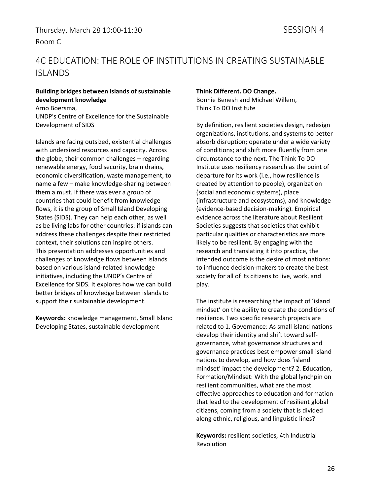## 4C EDUCATION: THE ROLE OF INSTITUTIONS IN CREATING SUSTAINABLE ISLANDS

#### **Building bridges between islands of sustainable development knowledge**

Arno Boersma, UNDP's Centre of Excellence for the Sustainable Development of SIDS

Islands are facing outsized, existential challenges with undersized resources and capacity. Across the globe, their common challenges – regarding renewable energy, food security, brain drains, economic diversification, waste management, to name a few – make knowledge-sharing between them a must. If there was ever a group of countries that could benefit from knowledge flows, it is the group of Small Island Developing States (SIDS). They can help each other, as well as be living labs for other countries: if islands can address these challenges despite their restricted context, their solutions can inspire others. This presentation addresses opportunities and challenges of knowledge flows between islands based on various island-related knowledge initiatives, including the UNDP's Centre of Excellence for SIDS. It explores how we can build better bridges of knowledge between islands to support their sustainable development.

**Keywords:** knowledge management, Small Island Developing States, sustainable development

#### **Think Different. DO Change.**

Bonnie Benesh and Michael Willem, Think To DO Institute

By definition, resilient societies design, redesign organizations, institutions, and systems to better absorb disruption; operate under a wide variety of conditions; and shift more fluently from one circumstance to the next. The Think To DO Institute uses resiliency research as the point of departure for its work (i.e., how resilience is created by attention to people), organization (social and economic systems), place (infrastructure and ecosystems), and knowledge (evidence-based decision-making). Empirical evidence across the literature about Resilient Societies suggests that societies that exhibit particular qualities or characteristics are more likely to be resilient. By engaging with the research and translating it into practice, the intended outcome is the desire of most nations: to influence decision-makers to create the best society for all of its citizens to live, work, and play.

The institute is researching the impact of 'island mindset' on the ability to create the conditions of resilience. Two specific research projects are related to 1. Governance: As small island nations develop their identity and shift toward selfgovernance, what governance structures and governance practices best empower small island nations to develop, and how does 'island mindset' impact the development? 2. Education, Formation/Mindset: With the global lynchpin on resilient communities, what are the most effective approaches to education and formation that lead to the development of resilient global citizens, coming from a society that is divided along ethnic, religious, and linguistic lines?

**Keywords:** resilient societies, 4th Industrial Revolution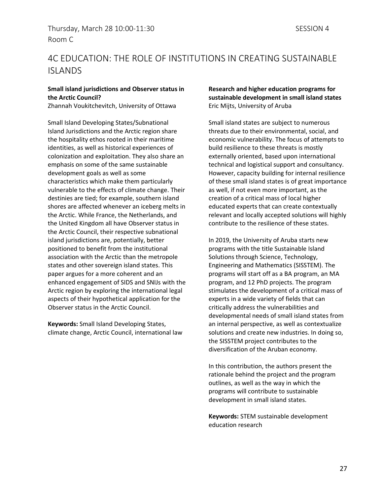## 4C EDUCATION: THE ROLE OF INSTITUTIONS IN CREATING SUSTAINABLE ISLANDS

#### **Small island jurisdictions and Observer status in the Arctic Council?**

Zhannah Voukitchevitch, University of Ottawa

Small Island Developing States/Subnational Island Jurisdictions and the Arctic region share the hospitality ethos rooted in their maritime identities, as well as historical experiences of colonization and exploitation. They also share an emphasis on some of the same sustainable development goals as well as some characteristics which make them particularly vulnerable to the effects of climate change. Their destinies are tied; for example, southern island shores are affected whenever an iceberg melts in the Arctic. While France, the Netherlands, and the United Kingdom all have Observer status in the Arctic Council, their respective subnational island jurisdictions are, potentially, better positioned to benefit from the institutional association with the Arctic than the metropole states and other sovereign island states. This paper argues for a more coherent and an enhanced engagement of SIDS and SNIJs with the Arctic region by exploring the international legal aspects of their hypothetical application for the Observer status in the Arctic Council.

**Keywords:** Small Island Developing States, climate change, Arctic Council, international law

#### **Research and higher education programs for sustainable development in small island states** Eric Mijts, University of Aruba

Small island states are subject to numerous threats due to their environmental, social, and economic vulnerability. The focus of attempts to build resilience to these threats is mostly externally oriented, based upon international technical and logistical support and consultancy. However, capacity building for internal resilience of these small island states is of great importance as well, if not even more important, as the creation of a critical mass of local higher educated experts that can create contextually relevant and locally accepted solutions will highly contribute to the resilience of these states.

In 2019, the University of Aruba starts new programs with the title Sustainable Island Solutions through Science, Technology, Engineering and Mathematics (SISSTEM). The programs will start off as a BA program, an MA program, and 12 PhD projects. The program stimulates the development of a critical mass of experts in a wide variety of fields that can critically address the vulnerabilities and developmental needs of small island states from an internal perspective, as well as contextualize solutions and create new industries. In doing so, the SISSTEM project contributes to the diversification of the Aruban economy.

In this contribution, the authors present the rationale behind the project and the program outlines, as well as the way in which the programs will contribute to sustainable development in small island states.

**Keywords:** STEM sustainable development education research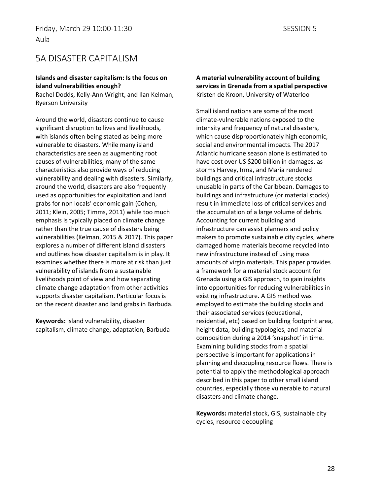### 5A DISASTER CAPITALISM

#### **Islands and disaster capitalism: Is the focus on island vulnerabilities enough?**

Rachel Dodds, Kelly-Ann Wright, and Ilan Kelman, Ryerson University

Around the world, disasters continue to cause significant disruption to lives and livelihoods, with islands often being stated as being more vulnerable to disasters. While many island characteristics are seen as augmenting root causes of vulnerabilities, many of the same characteristics also provide ways of reducing vulnerability and dealing with disasters. Similarly, around the world, disasters are also frequently used as opportunities for exploitation and land grabs for non locals' economic gain (Cohen, 2011; Klein, 2005; Timms, 2011) while too much emphasis is typically placed on climate change rather than the true cause of disasters being vulnerabilities (Kelman, 2015 & 2017). This paper explores a number of different island disasters and outlines how disaster capitalism is in play. It examines whether there is more at risk than just vulnerability of islands from a sustainable livelihoods point of view and how separating climate change adaptation from other activities supports disaster capitalism. Particular focus is on the recent disaster and land grabs in Barbuda.

**Keywords:** island vulnerability, disaster capitalism, climate change, adaptation, Barbuda **A material vulnerability account of building services in Grenada from a spatial perspective** Kristen de Kroon, University of Waterloo

Small island nations are some of the most climate-vulnerable nations exposed to the intensity and frequency of natural disasters, which cause disproportionately high economic, social and environmental impacts. The 2017 Atlantic hurricane season alone is estimated to have cost over US \$200 billion in damages, as storms Harvey, Irma, and Maria rendered buildings and critical infrastructure stocks unusable in parts of the Caribbean. Damages to buildings and infrastructure (or material stocks) result in immediate loss of critical services and the accumulation of a large volume of debris. Accounting for current building and infrastructure can assist planners and policy makers to promote sustainable city cycles, where damaged home materials become recycled into new infrastructure instead of using mass amounts of virgin materials. This paper provides a framework for a material stock account for Grenada using a GIS approach, to gain insights into opportunities for reducing vulnerabilities in existing infrastructure. A GIS method was employed to estimate the building stocks and their associated services (educational, residential, etc) based on building footprint area, height data, building typologies, and material composition during a 2014 'snapshot' in time. Examining building stocks from a spatial perspective is important for applications in planning and decoupling resource flows. There is potential to apply the methodological approach described in this paper to other small island countries, especially those vulnerable to natural disasters and climate change.

**Keywords:** material stock, GIS, sustainable city cycles, resource decoupling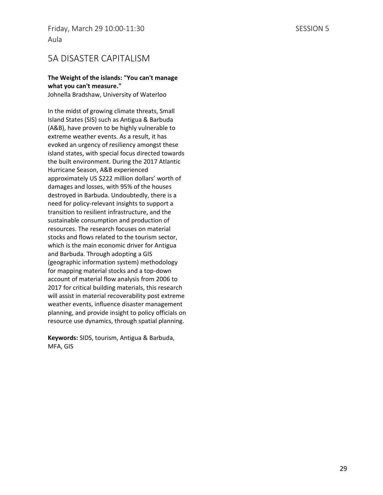### 5A DISASTER CAPITALISM

#### **The Weight of the islands: "You can't manage what you can't measure."**

Johnella Bradshaw, University of Waterloo

In the midst of growing climate threats, Small Island States (SIS) such as Antigua & Barbuda (A&B), have proven to be highly vulnerable to extreme weather events. As a result, it has evoked an urgency of resiliency amongst these island states, with special focus directed towards the built environment. During the 2017 Atlantic Hurricane Season, A&B experienced approximately US \$222 million dollars' worth of damages and losses, with 95% of the houses destroyed in Barbuda. Undoubtedly, there is a need for policy-relevant insights to support a transition to resilient infrastructure, and the sustainable consumption and production of resources. The research focuses on material stocks and flows related to the tourism sector, which is the main economic driver for Antigua and Barbuda. Through adopting a GIS (geographic information system) methodology for mapping material stocks and a top-down account of material flow analysis from 2006 to 2017 for critical building materials, this research will assist in material recoverability post extreme weather events, influence disaster management planning, and provide insight to policy officials on resource use dynamics, through spatial planning.

**Keywords:** SIDS, tourism, Antigua & Barbuda, MFA, GIS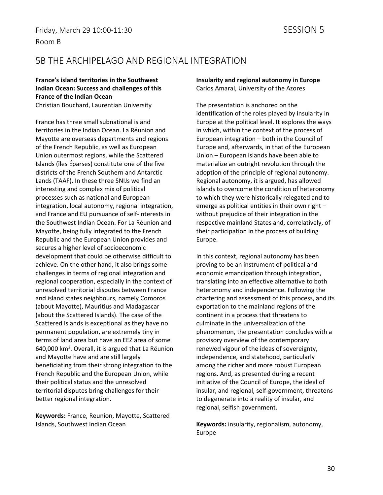### 5B THE ARCHIPELAGO AND REGIONAL INTEGRATION

### **France's island territories in the Southwest Indian Ocean: Success and challenges of this France of the Indian Ocean**

Christian Bouchard, Laurentian University

France has three small subnational island territories in the Indian Ocean. La Réunion and Mayotte are overseas departments and regions of the French Republic, as well as European Union outermost regions, while the Scattered Islands (îles Éparses) constitute one of the five districts of the French Southern and Antarctic Lands (TAAF). In these three SNIJs we find an interesting and complex mix of political processes such as national and European integration, local autonomy, regional integration, and France and EU pursuance of self-interests in the Southwest Indian Ocean. For La Réunion and Mayotte, being fully integrated to the French Republic and the European Union provides and secures a higher level of socioeconomic development that could be otherwise difficult to achieve. On the other hand, it also brings some challenges in terms of regional integration and regional cooperation, especially in the context of unresolved territorial disputes between France and island states neighbours, namely Comoros (about Mayotte), Mauritius and Madagascar (about the Scattered Islands). The case of the Scattered Islands is exceptional as they have no permanent population, are extremely tiny in terms of land area but have an EEZ area of some 640,000 km2. Overall, it is argued that La Réunion and Mayotte have and are still largely beneficiating from their strong integration to the French Republic and the European Union, while their political status and the unresolved territorial disputes bring challenges for their better regional integration.

**Keywords:** France, Reunion, Mayotte, Scattered Islands, Southwest Indian Ocean

#### **Insularity and regional autonomy in Europe** Carlos Amaral, University of the Azores

The presentation is anchored on the identification of the roles played by insularity in Europe at the political level. It explores the ways in which, within the context of the process of European integration – both in the Council of Europe and, afterwards, in that of the European Union – European islands have been able to materialize an outright revolution through the adoption of the principle of regional autonomy. Regional autonomy, it is argued, has allowed islands to overcome the condition of heteronomy to which they were historically relegated and to emerge as political entities in their own right – without prejudice of their integration in the respective mainland States and, correlatively, of their participation in the process of building Europe.

In this context, regional autonomy has been proving to be an instrument of political and economic emancipation through integration, translating into an effective alternative to both heteronomy and independence. Following the chartering and assessment of this process, and its exportation to the mainland regions of the continent in a process that threatens to culminate in the universalization of the phenomenon, the presentation concludes with a provisory overview of the contemporary renewed vigour of the ideas of sovereignty, independence, and statehood, particularly among the richer and more robust European regions. And, as presented during a recent initiative of the Council of Europe, the ideal of insular, and regional, self-government, threatens to degenerate into a reality of insular, and regional, selfish government.

**Keywords:** insularity, regionalism, autonomy, Europe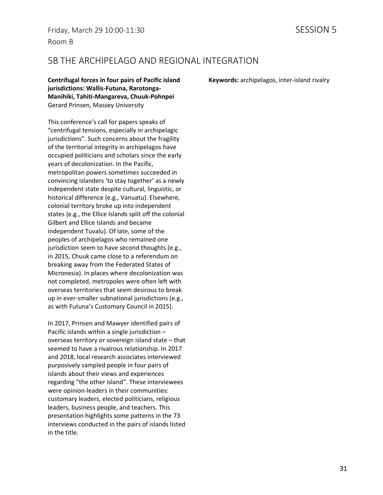### 5B THE ARCHIPELAGO AND REGIONAL INTEGRATION

**Centrifugal forces in four pairs of Pacific island jurisdictions: Wallis-Futuna, Rarotonga-Manihiki, Tahiti-Mangareva, Chuuk-Pohnpei** Gerard Prinsen, Massey University

This conference's call for papers speaks of "centrifugal tensions, especially in archipelagic jurisdictions". Such concerns about the fragility of the territorial integrity in archipelagos have occupied politicians and scholars since the early years of decolonization. In the Pacific, metropolitan powers sometimes succeeded in convincing islanders 'to stay together' as a newly independent state despite cultural, linguistic, or historical difference (e.g., Vanuatu). Elsewhere, colonial territory broke up into independent states (e.g., the Ellice Islands split off the colonial Gilbert and Ellice Islands and became independent Tuvalu). Of late, some of the peoples of archipelagos who remained one jurisdiction seem to have second thoughts (e.g., in 2015, Chuuk came close to a referendum on breaking away from the Federated States of Micronesia). In places where decolonization was not completed, metropoles were often left with overseas territories that seem desirous to break up in ever-smaller subnational jurisdictions (e.g., as with Futuna's Customary Council in 2015).

In 2017, Prinsen and Mawyer identified pairs of Pacific islands within a single jurisdiction – overseas territory or sovereign island state – that seemed to have a rivalrous relationship. In 2017 and 2018, local research associates interviewed purposively sampled people in four pairs of islands about their views and experiences regarding "the other island". These interviewees were opinion-leaders in their communities: customary leaders, elected politicians, religious leaders, business people, and teachers. This presentation highlights some patterns in the 73 interviews conducted in the pairs of islands listed in the title.

**Keywords:** archipelagos, inter-island rivalry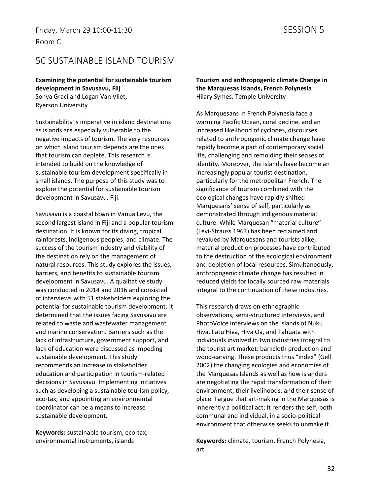### 5C SUSTAINABLE ISLAND TOURISM

**Examining the potential for sustainable tourism development in Savusavu, Fiij** Sonya Graci and Logan Van Vliet, Ryerson University

Sustainability is imperative in island destinations as islands are especially vulnerable to the negative impacts of tourism. The very resources on which island tourism depends are the ones that tourism can deplete. This research is intended to build on the knowledge of sustainable tourism development specifically in small islands. The purpose of this study was to explore the potential for sustainable tourism development in Savusavu, Fiji.

Savusavu is a coastal town in Vanua Levu, the second largest island in Fiji and a popular tourism destination. It is known for its diving, tropical rainforests, Indigenous peoples, and climate. The success of the tourism industry and viability of the destination rely on the management of natural resources. This study explores the issues, barriers, and benefits to sustainable tourism development in Savusavu. A qualitative study was conducted in 2014 and 2016 and consisted of interviews with 51 stakeholders exploring the potential for sustainable tourism development. It determined that the issues facing Savusavu are related to waste and wastewater management and marine conservation. Barriers such as the lack of infrastructure, government support, and lack of education were discussed as impeding sustainable development. This study recommends an increase in stakeholder education and participation in tourism-related decisions in Savusavu. Implementing initiatives such as developing a sustainable tourism policy, eco-tax, and appointing an environmental coordinator can be a means to increase sustainable development.

**Keywords:** sustainable tourism, eco-tax, environmental instruments, islands

**Tourism and anthropogenic climate Change in the Marquesas Islands, French Polynesia** Hilary Symes, Temple University

As Marquesans in French Polynesia face a warming Pacific Ocean, coral decline, and an increased likelihood of cyclones, discourses related to anthropogenic climate change have rapidly become a part of contemporary social life, challenging and remolding their senses of identity. Moreover, the islands have become an increasingly popular tourist destination, particularly for the metropolitan French. The significance of tourism combined with the ecological changes have rapidly shifted Marquesans' sense of self, particularly as demonstrated through indigenous material culture. While Marquesan "material culture" (Lévi-Strauss 1963) has been reclaimed and revalued by Marquesans and tourists alike, material production processes have contributed to the destruction of the ecological environment and depletion of local resources. Simultaneously, anthropogenic climate change has resulted in reduced yields for locally sourced raw materials integral to the continuation of these industries.

This research draws on ethnographic observations, semi-structured interviews, and PhotoVoice interviews on the islands of Nuku Hiva, Fatu Hiva, Hiva Oa, and Tahuata with individuals involved in two industries integral to the tourist art market: barkcloth production and wood-carving. These products thus "index" (Gell 2002) the changing ecologies and economies of the Marquesas Islands as well as how islanders are negotiating the rapid transformation of their environment, their livelihoods, and their sense of place. I argue that art-making in the Marquesas is inherently a political act; it renders the self, both communal and individual, in a socio-political environment that otherwise seeks to unmake it.

**Keywords:** climate, tourism, French Polynesia, art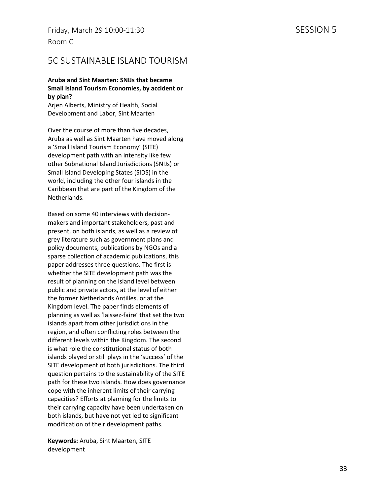Friday, March 29 10:00-11:30 SESSION 5 Room C

### 5C SUSTAINABLE ISLAND TOURISM

#### **Aruba and Sint Maarten: SNIJs that became Small Island Tourism Economies, by accident or by plan?**

Arjen Alberts, Ministry of Health, Social Development and Labor, Sint Maarten

Over the course of more than five decades, Aruba as well as Sint Maarten have moved along a 'Small Island Tourism Economy' (SITE) development path with an intensity like few other Subnational Island Jurisdictions (SNIJs) or Small Island Developing States (SIDS) in the world, including the other four islands in the Caribbean that are part of the Kingdom of the Netherlands.

Based on some 40 interviews with decisionmakers and important stakeholders, past and present, on both islands, as well as a review of grey literature such as government plans and policy documents, publications by NGOs and a sparse collection of academic publications, this paper addresses three questions. The first is whether the SITE development path was the result of planning on the island level between public and private actors, at the level of either the former Netherlands Antilles, or at the Kingdom level. The paper finds elements of planning as well as 'laissez-faire' that set the two islands apart from other jurisdictions in the region, and often conflicting roles between the different levels within the Kingdom. The second is what role the constitutional status of both islands played or still plays in the 'success' of the SITE development of both jurisdictions. The third question pertains to the sustainability of the SITE path for these two islands. How does governance cope with the inherent limits of their carrying capacities? Efforts at planning for the limits to their carrying capacity have been undertaken on both islands, but have not yet led to significant modification of their development paths.

**Keywords:** Aruba, Sint Maarten, SITE development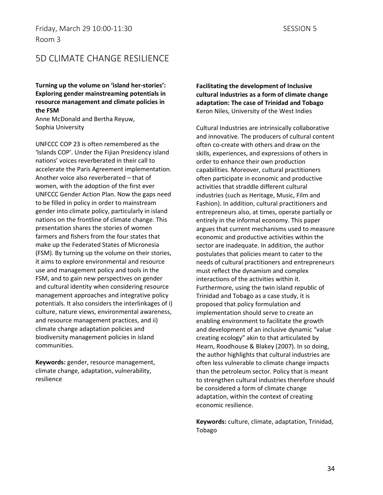### 5D CLIMATE CHANGE RESILIENCE

**Turning up the volume on 'island her-stories': Exploring gender mainstreaming potentials in resource management and climate policies in the FSM**

Anne McDonald and Bertha Reyuw, Sophia University

UNFCCC COP 23 is often remembered as the 'Islands COP'. Under the Fijian Presidency island nations' voices reverberated in their call to accelerate the Paris Agreement implementation. Another voice also reverberated – that of women, with the adoption of the first ever UNFCCC Gender Action Plan. Now the gaps need to be filled in policy in order to mainstream gender into climate policy, particularly in island nations on the frontline of climate change. This presentation shares the stories of women farmers and fishers from the four states that make up the Federated States of Micronesia (FSM). By turning up the volume on their stories, it aims to explore environmental and resource use and management policy and tools in the FSM, and to gain new perspectives on gender and cultural identity when considering resource management approaches and integrative policy potentials. It also considers the interlinkages of i) culture, nature views, environmental awareness, and resource management practices, and ii) climate change adaptation policies and biodiversity management policies in island communities.

**Keywords:** gender, resource management, climate change, adaptation, vulnerability, resilience

**Facilitating the development of Inclusive cultural industries as a form of climate change adaptation: The case of Trinidad and Tobago** Keron Niles, University of the West Indies

Cultural Industries are intrinsically collaborative and innovative. The producers of cultural content often co-create with others and draw on the skills, experiences, and expressions of others in order to enhance their own production capabilities. Moreover, cultural practitioners often participate in economic and productive activities that straddle different cultural industries (such as Heritage, Music, Film and Fashion). In addition, cultural practitioners and entrepreneurs also, at times, operate partially or entirely in the informal economy. This paper argues that current mechanisms used to measure economic and productive activities within the sector are inadequate. In addition, the author postulates that policies meant to cater to the needs of cultural practitioners and entrepreneurs must reflect the dynamism and complex interactions of the activities within it. Furthermore, using the twin island republic of Trinidad and Tobago as a case study, it is proposed that policy formulation and implementation should serve to create an enabling environment to facilitate the growth and development of an inclusive dynamic "value creating ecology" akin to that articulated by Hearn, Roodhouse & Blakey (2007). In so doing, the author highlights that cultural industries are often less vulnerable to climate change impacts than the petroleum sector. Policy that is meant to strengthen cultural industries therefore should be considered a form of climate change adaptation, within the context of creating economic resilience.

**Keywords:** culture, climate, adaptation, Trinidad, Tobago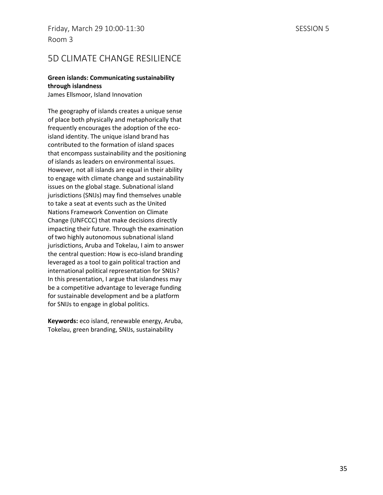### 5D CLIMATE CHANGE RESILIENCE

#### **Green islands: Communicating sustainability through islandness**

James Ellsmoor, Island Innovation

The geography of islands creates a unique sense of place both physically and metaphorically that frequently encourages the adoption of the ecoisland identity. The unique island brand has contributed to the formation of island spaces that encompass sustainability and the positioning of islands as leaders on environmental issues. However, not all islands are equal in their ability to engage with climate change and sustainability issues on the global stage. Subnational island jurisdictions (SNIJs) may find themselves unable to take a seat at events such as the United Nations Framework Convention on Climate Change (UNFCCC) that make decisions directly impacting their future. Through the examination of two highly autonomous subnational island jurisdictions, Aruba and Tokelau, I aim to answer the central question: How is eco-island branding leveraged as a tool to gain political traction and international political representation for SNIJs? In this presentation, I argue that islandness may be a competitive advantage to leverage funding for sustainable development and be a platform for SNIJs to engage in global politics.

**Keywords:** eco island, renewable energy, Aruba, Tokelau, green branding, SNIJs, sustainability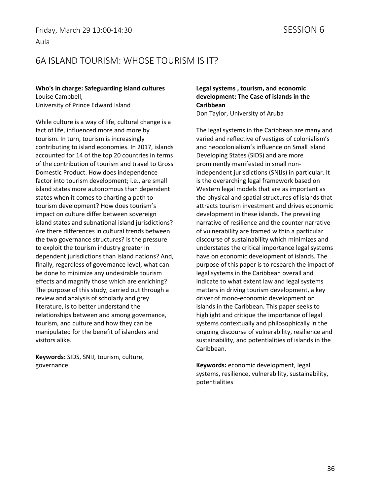### 6A ISLAND TOURISM: WHOSE TOURISM IS IT?

**Who's in charge: Safeguarding island cultures** Louise Campbell, University of Prince Edward Island

While culture is a way of life, cultural change is a fact of life, influenced more and more by tourism. In turn, tourism is increasingly contributing to island economies. In 2017, islands accounted for 14 of the top 20 countries in terms of the contribution of tourism and travel to Gross Domestic Product. How does independence factor into tourism development; i.e., are small island states more autonomous than dependent states when it comes to charting a path to tourism development? How does tourism's impact on culture differ between sovereign island states and subnational island jurisdictions? Are there differences in cultural trends between the two governance structures? Is the pressure to exploit the tourism industry greater in dependent jurisdictions than island nations? And, finally, regardless of governance level, what can be done to minimize any undesirable tourism effects and magnify those which are enriching? The purpose of this study, carried out through a review and analysis of scholarly and grey literature, is to better understand the relationships between and among governance, tourism, and culture and how they can be manipulated for the benefit of islanders and visitors alike.

**Keywords:** SIDS, SNIJ, tourism, culture, governance

#### **Legal systems , tourism, and economic development: The Case of islands in the Caribbean**

Don Taylor, University of Aruba

The legal systems in the Caribbean are many and varied and reflective of vestiges of colonialism's and neocolonialism's influence on Small Island Developing States (SIDS) and are more prominently manifested in small nonindependent jurisdictions (SNIJs) in particular. It is the overarching legal framework based on Western legal models that are as important as the physical and spatial structures of islands that attracts tourism investment and drives economic development in these islands. The prevailing narrative of resilience and the counter narrative of vulnerability are framed within a particular discourse of sustainability which minimizes and understates the critical importance legal systems have on economic development of islands. The purpose of this paper is to research the impact of legal systems in the Caribbean overall and indicate to what extent law and legal systems matters in driving tourism development, a key driver of mono-economic development on islands in the Caribbean. This paper seeks to highlight and critique the importance of legal systems contextually and philosophically in the ongoing discourse of vulnerability, resilience and sustainability, and potentialities of islands in the Caribbean.

**Keywords:** economic development, legal systems, resilience, vulnerability, sustainability, potentialities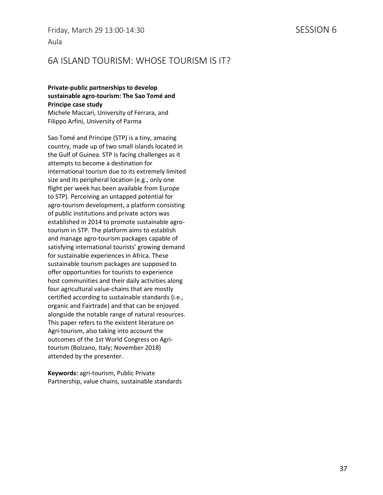### 6A ISLAND TOURISM: WHOSE TOURISM IS IT?

#### **Private-public partnerships to develop sustainable agro-tourism: The Sao Tomé and Principe case study**

Michele Maccari, University of Ferrara, and Filippo Arfini, University of Parma

Sao Tomé and Principe (STP) is a tiny, amazing country, made up of two small islands located in the Gulf of Guinea. STP is facing challenges as it attempts to become a destination for international tourism due to its extremely limited size and its peripheral location (e.g., only one flight per week has been available from Europe to STP). Perceiving an untapped potential for agro-tourism development, a platform consisting of public institutions and private actors was established in 2014 to promote sustainable agrotourism in STP. The platform aims to establish and manage agro-tourism packages capable of satisfying international tourists' growing demand for sustainable experiences in Africa. These sustainable tourism packages are supposed to offer opportunities for tourists to experience host communities and their daily activities along four agricultural value-chains that are mostly certified according to sustainable standards (i.e., organic and Fairtrade) and that can be enjoyed alongside the notable range of natural resources. This paper refers to the existent literature on Agri-tourism, also taking into account the outcomes of the 1st World Congress on Agritourism (Bolzano, Italy; November 2018) attended by the presenter.

**Keywords:** agri-tourism, Public Private Partnership, value chains, sustainable standards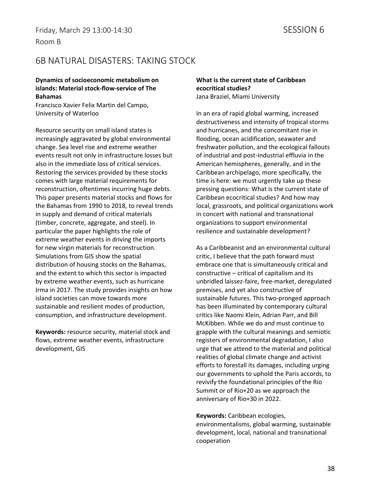### 6B NATURAL DISASTERS: TAKING STOCK

#### **Dynamics of socioeconomic metabolism on islands: Material stock-flow-service of The Bahamas**

Francisco Xavier Felix Martin del Campo, University of Waterloo

Resource security on small island states is increasingly aggravated by global environmental change. Sea level rise and extreme weather events result not only in infrastructure losses but also in the immediate loss of critical services. Restoring the services provided by these stocks comes with large material requirements for reconstruction, oftentimes incurring huge debts. This paper presents material stocks and flows for the Bahamas from 1990 to 2018, to reveal trends in supply and demand of critical materials (timber, concrete, aggregate, and steel). In particular the paper highlights the role of extreme weather events in driving the imports for new virgin materials for reconstruction. Simulations from GIS show the spatial distribution of housing stocks on the Bahamas, and the extent to which this sector is impacted by extreme weather events, such as hurricane Irma in 2017. The study provides insights on how island societies can move towards more sustainable and resilient modes of production, consumption, and infrastructure development.

**Keywords:** resource security, material stock and flows, extreme weather events, infrastructure development, GIS

#### **What is the current state of Caribbean ecocritical studies?** Jana Braziel, Miami University

In an era of rapid global warming, increased destructiveness and intensity of tropical storms and hurricanes, and the concomitant rise in flooding, ocean acidification, seawater and freshwater pollution, and the ecological fallouts of industrial and post-industrial effluvia in the American hemispheres, generally, and in the Caribbean archipelago, more specifically, the time is here: we must urgently take up these pressing questions: What is the current state of Caribbean ecocritical studies? And how may local, grassroots, and political organizations work in concert with national and transnational organizations to support environmental resilience and sustainable development?

As a Caribbeanist and an environmental cultural critic, I believe that the path forward must embrace one that is simultaneously critical and constructive – critical of capitalism and its unbridled laissez-faire, free-market, deregulated premises, and yet also constructive of sustainable futures. This two-pronged approach has been illuminated by contemporary cultural critics like Naomi Klein, Adrian Parr, and Bill McKibben. While we do and must continue to grapple with the cultural meanings and semiotic registers of environmental degradation, I also urge that we attend to the material and political realities of global climate change and activist efforts to forestall its damages, including urging our governments to uphold the Paris accords, to revivify the foundational principles of the Rio Summit or of Rio+20 as we approach the anniversary of Rio+30 in 2022.

**Keywords:** Caribbean ecologies, environmentalisms, global warming, sustainable development, local, national and transnational cooperation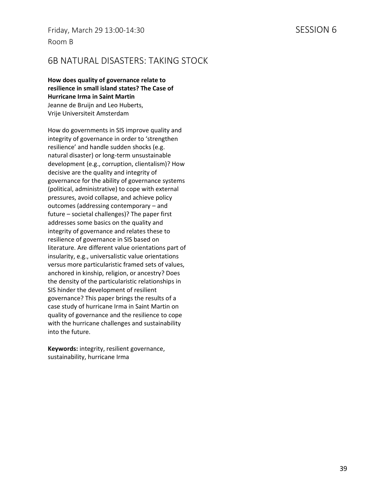Friday, March 29 13:00-14:30 SESSION 6 Room B

### 6B NATURAL DISASTERS: TAKING STOCK

**How does quality of governance relate to resilience in small island states? The Case of Hurricane Irma in Saint Martin** Jeanne de Bruijn and Leo Huberts, Vrije Universiteit Amsterdam

How do governments in SIS improve quality and integrity of governance in order to 'strengthen resilience' and handle sudden shocks (e.g. natural disaster) or long-term unsustainable development (e.g., corruption, clientalism)? How decisive are the quality and integrity of governance for the ability of governance systems (political, administrative) to cope with external pressures, avoid collapse, and achieve policy outcomes (addressing contemporary – and future – societal challenges)? The paper first addresses some basics on the quality and integrity of governance and relates these to resilience of governance in SIS based on literature. Are different value orientations part of insularity, e.g., universalistic value orientations versus more particularistic framed sets of values, anchored in kinship, religion, or ancestry? Does the density of the particularistic relationships in SIS hinder the development of resilient governance? This paper brings the results of a case study of hurricane Irma in Saint Martin on quality of governance and the resilience to cope with the hurricane challenges and sustainability into the future.

**Keywords:** integrity, resilient governance, sustainability, hurricane Irma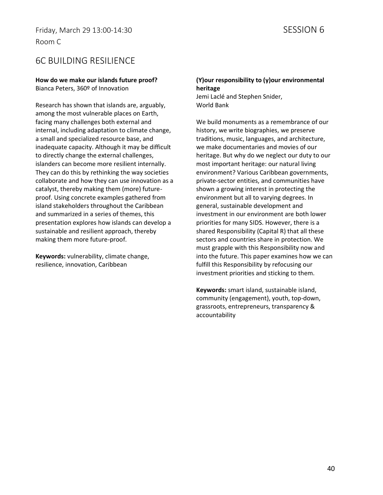### 6C BUILDING RESILIENCE

#### **How do we make our islands future proof?** Bianca Peters, 360º of Innovation

Research has shown that islands are, arguably, among the most vulnerable places on Earth, facing many challenges both external and internal, including adaptation to climate change, a small and specialized resource base, and inadequate capacity. Although it may be difficult to directly change the external challenges, islanders can become more resilient internally. They can do this by rethinking the way societies collaborate and how they can use innovation as a catalyst, thereby making them (more) futureproof. Using concrete examples gathered from island stakeholders throughout the Caribbean and summarized in a series of themes, this presentation explores how islands can develop a sustainable and resilient approach, thereby making them more future-proof.

**Keywords:** vulnerability, climate change, resilience, innovation, Caribbean

#### **(Y)our responsibility to (y)our environmental heritage** Jemi Laclé and Stephen Snider, World Bank

We build monuments as a remembrance of our history, we write biographies, we preserve traditions, music, languages, and architecture, we make documentaries and movies of our heritage. But why do we neglect our duty to our most important heritage: our natural living environment? Various Caribbean governments, private-sector entities, and communities have shown a growing interest in protecting the environment but all to varying degrees. In general, sustainable development and investment in our environment are both lower priorities for many SIDS. However, there is a shared Responsibility (Capital R) that all these sectors and countries share in protection. We must grapple with this Responsibility now and into the future. This paper examines how we can fulfill this Responsibility by refocusing our investment priorities and sticking to them.

**Keywords:** smart island, sustainable island, community (engagement), youth, top-down, grassroots, entrepreneurs, transparency & accountability